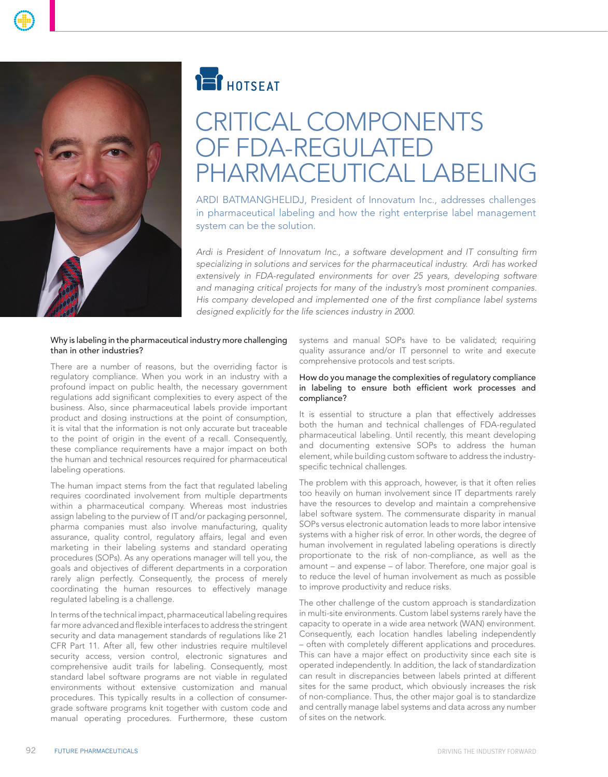

# **TEI** HOTSEAT

# CRITICAL COMPONENTS of FDA-Regulated Pharmaceutical Labeling

ARDI BATMANGHELIDJ, President of Innovatum Inc., addresses challenges in pharmaceutical labeling and how the right enterprise label management system can be the solution.

*Ardi is President of Innovatum Inc., a software development and IT consulting firm specializing in solutions and services for the pharmaceutical industry. Ardi has worked extensively in FDA-regulated environments for over 25 years, developing software and managing critical projects for many of the industry's most prominent companies. His company developed and implemented one of the first compliance label systems designed explicitly for the life sciences industry in 2000.* 

#### Why is labeling in the pharmaceutical industry more challenging than in other industries?

There are a number of reasons, but the overriding factor is regulatory compliance. When you work in an industry with a profound impact on public health, the necessary government regulations add significant complexities to every aspect of the business. Also, since pharmaceutical labels provide important product and dosing instructions at the point of consumption, it is vital that the information is not only accurate but traceable to the point of origin in the event of a recall. Consequently, these compliance requirements have a major impact on both the human and technical resources required for pharmaceutical labeling operations.

The human impact stems from the fact that regulated labeling requires coordinated involvement from multiple departments within a pharmaceutical company. Whereas most industries assign labeling to the purview of IT and/or packaging personnel, pharma companies must also involve manufacturing, quality assurance, quality control, regulatory affairs, legal and even marketing in their labeling systems and standard operating procedures (SOPs). As any operations manager will tell you, the goals and objectives of different departments in a corporation rarely align perfectly. Consequently, the process of merely coordinating the human resources to effectively manage regulated labeling is a challenge.

In terms of the technical impact, pharmaceutical labeling requires far more advanced and flexible interfaces to address the stringent security and data management standards of regulations like 21 CFR Part 11. After all, few other industries require multilevel security access, version control, electronic signatures and comprehensive audit trails for labeling. Consequently, most standard label software programs are not viable in regulated environments without extensive customization and manual procedures. This typically results in a collection of consumergrade software programs knit together with custom code and manual operating procedures. Furthermore, these custom

systems and manual SOPs have to be validated; requiring quality assurance and/or IT personnel to write and execute comprehensive protocols and test scripts.

### How do you manage the complexities of regulatory compliance in labeling to ensure both efficient work processes and compliance?

It is essential to structure a plan that effectively addresses both the human and technical challenges of FDA-regulated pharmaceutical labeling. Until recently, this meant developing and documenting extensive SOPs to address the human element, while building custom software to address the industryspecific technical challenges.

The problem with this approach, however, is that it often relies too heavily on human involvement since IT departments rarely have the resources to develop and maintain a comprehensive label software system. The commensurate disparity in manual SOPs versus electronic automation leads to more labor intensive systems with a higher risk of error. In other words, the degree of human involvement in regulated labeling operations is directly proportionate to the risk of non-compliance, as well as the amount – and expense – of labor. Therefore, one major goal is to reduce the level of human involvement as much as possible to improve productivity and reduce risks.

The other challenge of the custom approach is standardization in multi-site environments. Custom label systems rarely have the capacity to operate in a wide area network (WAN) environment. Consequently, each location handles labeling independently – often with completely different applications and procedures. This can have a major effect on productivity since each site is operated independently. In addition, the lack of standardization can result in discrepancies between labels printed at different sites for the same product, which obviously increases the risk of non-compliance. Thus, the other major goal is to standardize and centrally manage label systems and data across any number of sites on the network.